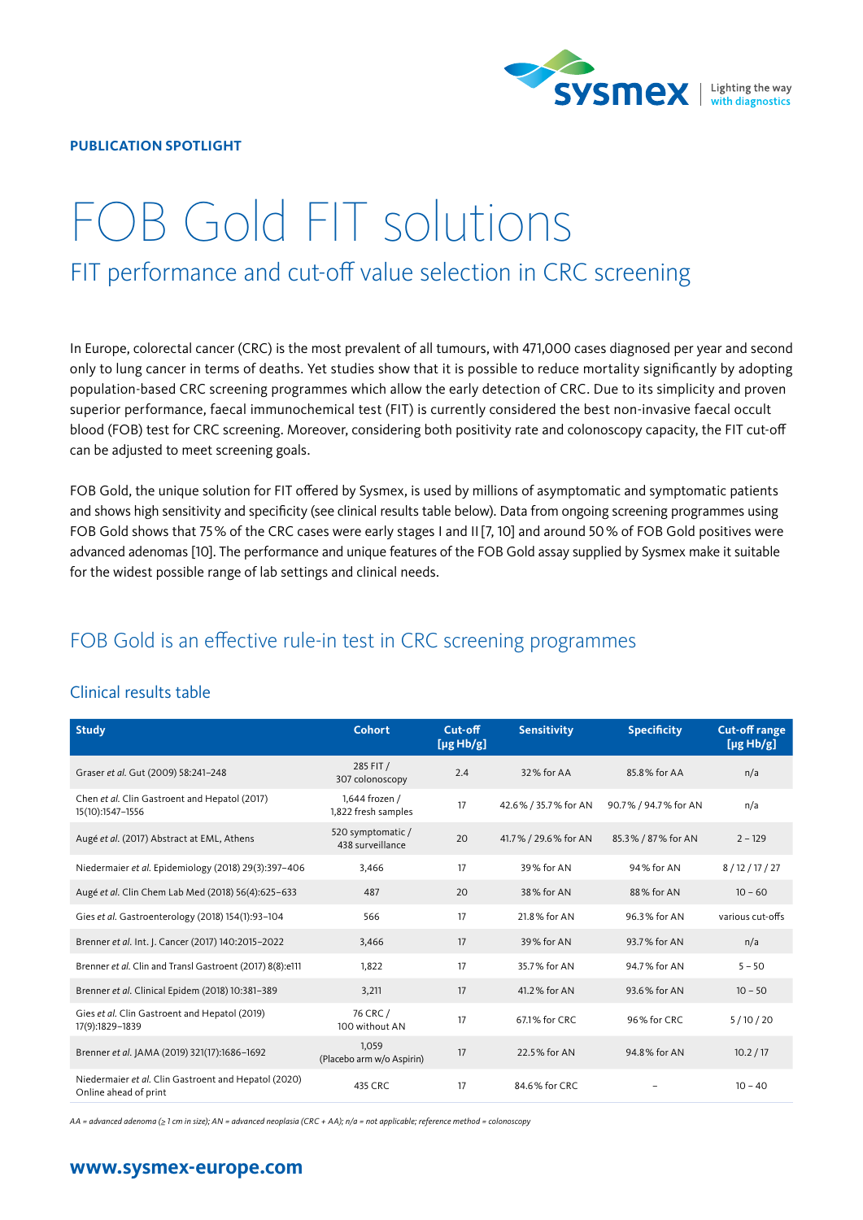

#### **PUBLICATION SPOTLIGHT**

# FOB Gold FIT solutions FIT performance and cut-off value selection in CRC screening

In Europe, colorectal cancer (CRC) is the most prevalent of all tumours, with 471,000 cases diagnosed per year and second only to lung cancer in terms of deaths. Yet studies show that it is possible to reduce mortality significantly by adopting population-based CRC screening programmes which allow the early detection of CRC. Due to its simplicity and proven superior performance, faecal immunochemical test (FIT) is currently considered the best non-invasive faecal occult blood (FOB) test for CRC screening. Moreover, considering both positivity rate and colonoscopy capacity, the FIT cut-off can be adjusted to meet screening goals.

FOB Gold, the unique solution for FIT offered by Sysmex, is used by millions of asymptomatic and symptomatic patients and shows high sensitivity and specificity (see clinical results table below). Data from ongoing screening programmes using FOB Gold shows that 75% of the CRC cases were early stages I and II[7, 10] and around 50% of FOB Gold positives were advanced adenomas [10]. The performance and unique features of the FOB Gold assay supplied by Sysmex make it suitable for the widest possible range of lab settings and clinical needs.

## FOB Gold is an effective rule-in test in CRC screening programmes

| Clinical results table |  |
|------------------------|--|
|                        |  |

| <b>Study</b>                                                                  | <b>Cohort</b>                         | Cut-off<br>$[\mu g Hb/g]$ | <b>Sensitivity</b>   | <b>Specificity</b>   | <b>Cut-off range</b><br>[µgHb/g] |
|-------------------------------------------------------------------------------|---------------------------------------|---------------------------|----------------------|----------------------|----------------------------------|
| Graser et al. Gut (2009) 58:241-248                                           | 285 FIT /<br>307 colonoscopy          | 2.4                       | 32% for AA           | 85.8% for AA         | n/a                              |
| Chen et al. Clin Gastroent and Hepatol (2017)<br>15(10):1547-1556             | 1,644 frozen /<br>1,822 fresh samples | 17                        | 42.6% / 35.7% for AN | 90.7% / 94.7% for AN | n/a                              |
| Augé et al. (2017) Abstract at EML, Athens                                    | 520 symptomatic /<br>438 surveillance | 20                        | 41.7% / 29.6% for AN | 85.3% / 87% for AN   | $2 - 129$                        |
| Niedermaier et al. Epidemiology (2018) 29(3):397-406                          | 3,466                                 | 17                        | 39% for AN           | 94% for AN           | 8/12/17/27                       |
| Augé et al. Clin Chem Lab Med (2018) 56(4):625-633                            | 487                                   | 20                        | 38% for AN           | 88% for AN           | $10 - 60$                        |
| Gies et al. Gastroenterology (2018) 154(1):93-104                             | 566                                   | 17                        | 21.8% for AN         | 96.3% for AN         | various cut-offs                 |
| Brenner et al. Int. J. Cancer (2017) 140:2015-2022                            | 3,466                                 | 17                        | 39% for AN           | 93.7% for AN         | n/a                              |
| Brenner et al. Clin and Transl Gastroent (2017) 8(8):e111                     | 1,822                                 | 17                        | 35.7% for AN         | 94.7% for AN         | $5 - 50$                         |
| Brenner et al. Clinical Epidem (2018) 10:381-389                              | 3,211                                 | 17                        | 41.2% for AN         | 93.6% for AN         | $10 - 50$                        |
| Gies et al. Clin Gastroent and Hepatol (2019)<br>17(9):1829-1839              | 76 CRC /<br>100 without AN            | 17                        | 67.1% for CRC        | 96% for CRC          | 5/10/20                          |
| Brenner et al. (AMA (2019) 321(17):1686-1692                                  | 1.059<br>(Placebo arm w/o Aspirin)    | 17                        | 22.5% for AN         | 94.8% for AN         | 10.2 / 17                        |
| Niedermaier et al. Clin Gastroent and Hepatol (2020)<br>Online ahead of print | 435 CRC                               | 17                        | 84.6% for CRC        |                      | $10 - 40$                        |

*AA = advanced adenoma (≥ 1 cm in size); AN = advanced neoplasia (CRC + AA); n/a = not applicable; reference method = colonoscopy*